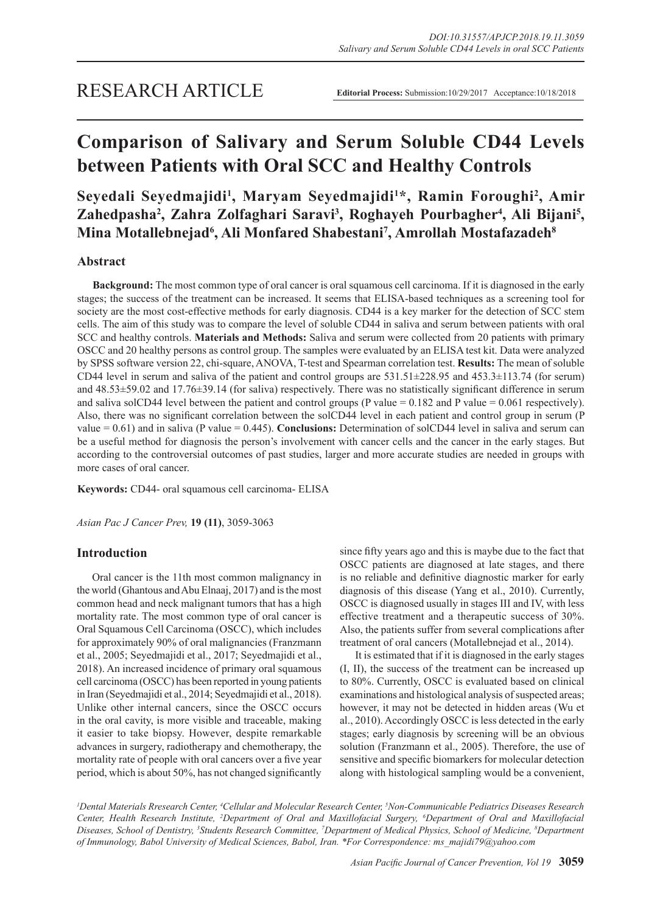# **Comparison of Salivary and Serum Soluble CD44 Levels between Patients with Oral SCC and Healthy Controls**

**Seyedali Seyedmajidi1 , Maryam Seyedmajidi1 \*, Ramin Foroughi2 , Amir**  Zahedpasha<sup>2</sup>, Zahra Zolfaghari Saravi<sup>3</sup>, Roghayeh Pourbagher<sup>4</sup>, Ali Bijani<sup>5</sup>, **Mina Motallebnejad6 , Ali Monfared Shabestani7 , Amrollah Mostafazadeh8**

## **Abstract**

**Background:** The most common type of oral cancer is oral squamous cell carcinoma. If it is diagnosed in the early stages; the success of the treatment can be increased. It seems that ELISA-based techniques as a screening tool for society are the most cost-effective methods for early diagnosis. CD44 is a key marker for the detection of SCC stem cells. The aim of this study was to compare the level of soluble CD44 in saliva and serum between patients with oral SCC and healthy controls. **Materials and Methods:** Saliva and serum were collected from 20 patients with primary OSCC and 20 healthy persons as control group. The samples were evaluated by an ELISA test kit. Data were analyzed by SPSS software version 22, chi-square, ANOVA, T-test and Spearman correlation test. **Results:** The mean of soluble CD44 level in serum and saliva of the patient and control groups are  $531.51\pm228.95$  and  $453.3\pm113.74$  (for serum) and 48.53±59.02 and 17.76±39.14 (for saliva) respectively. There was no statistically significant difference in serum and saliva solCD44 level between the patient and control groups (P value =  $0.182$  and P value =  $0.061$  respectively). Also, there was no significant correlation between the solCD44 level in each patient and control group in serum (P value = 0.61) and in saliva (P value = 0.445). **Conclusions:** Determination of solCD44 level in saliva and serum can be a useful method for diagnosis the person's involvement with cancer cells and the cancer in the early stages. But according to the controversial outcomes of past studies, larger and more accurate studies are needed in groups with more cases of oral cancer.

**Keywords:** CD44- oral squamous cell carcinoma- ELISA

*Asian Pac J Cancer Prev,* **19 (11)**, 3059-3063

# **Introduction**

Oral cancer is the 11th most common malignancy in the world (Ghantous and Abu Elnaaj, 2017) and is the most common head and neck malignant tumors that has a high mortality rate. The most common type of oral cancer is Oral Squamous Cell Carcinoma (OSCC), which includes for approximately 90% of oral malignancies (Franzmann et al., 2005; Seyedmajidi et al., 2017; Seyedmajidi et al., 2018). An increased incidence of primary oral squamous cell carcinoma (OSCC) has been reported in young patients in Iran (Seyedmajidi et al., 2014; Seyedmajidi et al., 2018). Unlike other internal cancers, since the OSCC occurs in the oral cavity, is more visible and traceable, making it easier to take biopsy. However, despite remarkable advances in surgery, radiotherapy and chemotherapy, the mortality rate of people with oral cancers over a five year period, which is about 50%, has not changed significantly since fifty years ago and this is maybe due to the fact that OSCC patients are diagnosed at late stages, and there is no reliable and definitive diagnostic marker for early diagnosis of this disease (Yang et al., 2010). Currently, OSCC is diagnosed usually in stages III and IV, with less effective treatment and a therapeutic success of 30%. Also, the patients suffer from several complications after treatment of oral cancers (Motallebnejad et al., 2014).

It is estimated that if it is diagnosed in the early stages (I, II), the success of the treatment can be increased up to 80%. Currently, OSCC is evaluated based on clinical examinations and histological analysis of suspected areas; however, it may not be detected in hidden areas (Wu et al., 2010). Accordingly OSCC is less detected in the early stages; early diagnosis by screening will be an obvious solution (Franzmann et al., 2005). Therefore, the use of sensitive and specific biomarkers for molecular detection along with histological sampling would be a convenient,

*1 Dental Materials Rresearch Center, 4 Cellular and Molecular Research Center, 5 Non-Communicable Pediatrics Diseases Research Center, Health Research Institute, 2 Department of Oral and Maxillofacial Surgery, 6 Department of Oral and Maxillofacial Diseases, School of Dentistry, 3 Students Research Committee, 7 Department of Medical Physics, School of Medicine, 8 Department of Immunology, Babol University of Medical Sciences, Babol, Iran. \*For Correspondence: ms\_majidi79@yahoo.com*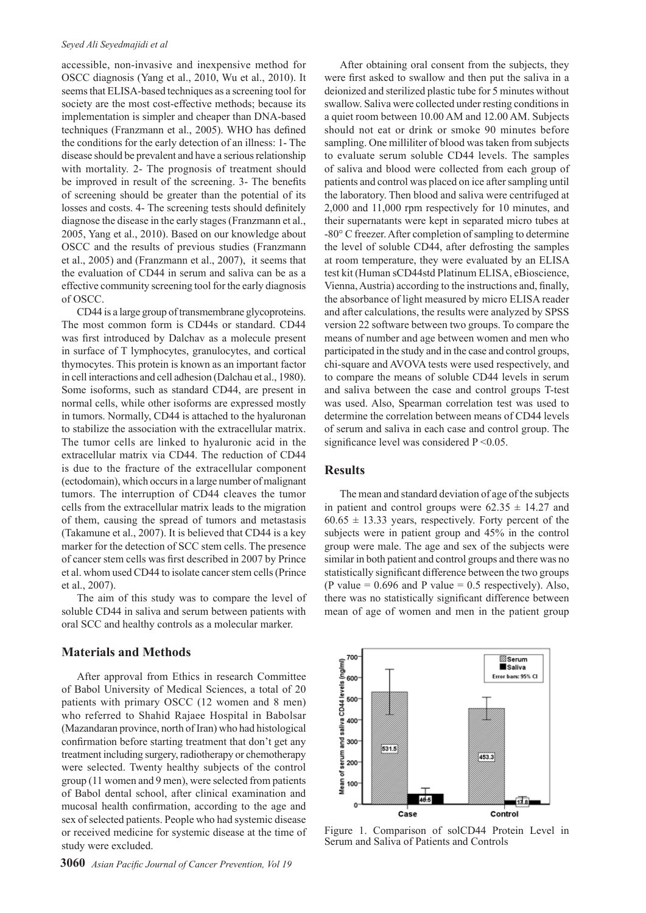#### *Seyed Ali Seyedmajidi et al*

accessible, non-invasive and inexpensive method for OSCC diagnosis (Yang et al., 2010, Wu et al., 2010). It seems that ELISA-based techniques as a screening tool for society are the most cost-effective methods; because its implementation is simpler and cheaper than DNA-based techniques (Franzmann et al., 2005). WHO has defined the conditions for the early detection of an illness: 1- The disease should be prevalent and have a serious relationship with mortality. 2- The prognosis of treatment should be improved in result of the screening. 3- The benefits of screening should be greater than the potential of its losses and costs. 4- The screening tests should definitely diagnose the disease in the early stages (Franzmann et al., 2005, Yang et al., 2010). Based on our knowledge about OSCC and the results of previous studies (Franzmann et al., 2005) and (Franzmann et al., 2007), it seems that the evaluation of CD44 in serum and saliva can be as a effective community screening tool for the early diagnosis of OSCC.

CD44 is a large group of transmembrane glycoproteins. The most common form is CD44s or standard. CD44 was first introduced by Dalchav as a molecule present in surface of T lymphocytes, granulocytes, and cortical thymocytes. This protein is known as an important factor in cell interactions and cell adhesion (Dalchau et al., 1980). Some isoforms, such as standard CD44, are present in normal cells, while other isoforms are expressed mostly in tumors. Normally, CD44 is attached to the hyaluronan to stabilize the association with the extracellular matrix. The tumor cells are linked to hyaluronic acid in the extracellular matrix via CD44. The reduction of CD44 is due to the fracture of the extracellular component (ectodomain), which occurs in a large number of malignant tumors. The interruption of CD44 cleaves the tumor cells from the extracellular matrix leads to the migration of them, causing the spread of tumors and metastasis (Takamune et al., 2007). It is believed that CD44 is a key marker for the detection of SCC stem cells. The presence of cancer stem cells was first described in 2007 by Prince et al. whom used CD44 to isolate cancer stem cells (Prince et al., 2007).

The aim of this study was to compare the level of soluble CD44 in saliva and serum between patients with oral SCC and healthy controls as a molecular marker.

### **Materials and Methods**

After approval from Ethics in research Committee of Babol University of Medical Sciences, a total of 20 patients with primary OSCC (12 women and 8 men) who referred to Shahid Rajaee Hospital in Babolsar (Mazandaran province, north of Iran) who had histological confirmation before starting treatment that don't get any treatment including surgery, radiotherapy or chemotherapy were selected. Twenty healthy subjects of the control group (11 women and 9 men), were selected from patients of Babol dental school, after clinical examination and mucosal health confirmation, according to the age and sex of selected patients. People who had systemic disease or received medicine for systemic disease at the time of study were excluded.

After obtaining oral consent from the subjects, they were first asked to swallow and then put the saliva in a deionized and sterilized plastic tube for 5 minutes without swallow. Saliva were collected under resting conditions in a quiet room between 10.00 AM and 12.00 AM. Subjects should not eat or drink or smoke 90 minutes before sampling. One milliliter of blood was taken from subjects to evaluate serum soluble CD44 levels. The samples of saliva and blood were collected from each group of patients and control was placed on ice after sampling until the laboratory. Then blood and saliva were centrifuged at 2,000 and 11,000 rpm respectively for 10 minutes, and their supernatants were kept in separated micro tubes at -80° C freezer. After completion of sampling to determine the level of soluble CD44, after defrosting the samples at room temperature, they were evaluated by an ELISA test kit (Human sCD44std Platinum ELISA, eBioscience, Vienna, Austria) according to the instructions and, finally, the absorbance of light measured by micro ELISA reader and after calculations, the results were analyzed by SPSS version 22 software between two groups. To compare the means of number and age between women and men who participated in the study and in the case and control groups, chi-square and AVOVA tests were used respectively, and to compare the means of soluble CD44 levels in serum and saliva between the case and control groups T-test was used. Also, Spearman correlation test was used to determine the correlation between means of CD44 levels of serum and saliva in each case and control group. The significance level was considered  $P \le 0.05$ .

## **Results**

The mean and standard deviation of age of the subjects in patient and control groups were  $62.35 \pm 14.27$  and  $60.65 \pm 13.33$  years, respectively. Forty percent of the subjects were in patient group and 45% in the control group were male. The age and sex of the subjects were similar in both patient and control groups and there was no statistically significant difference between the two groups (P value =  $0.696$  and P value =  $0.5$  respectively). Also, there was no statistically significant difference between mean of age of women and men in the patient group



Figure 1. Comparison of solCD44 Protein Level in Serum and Saliva of Patients and Controls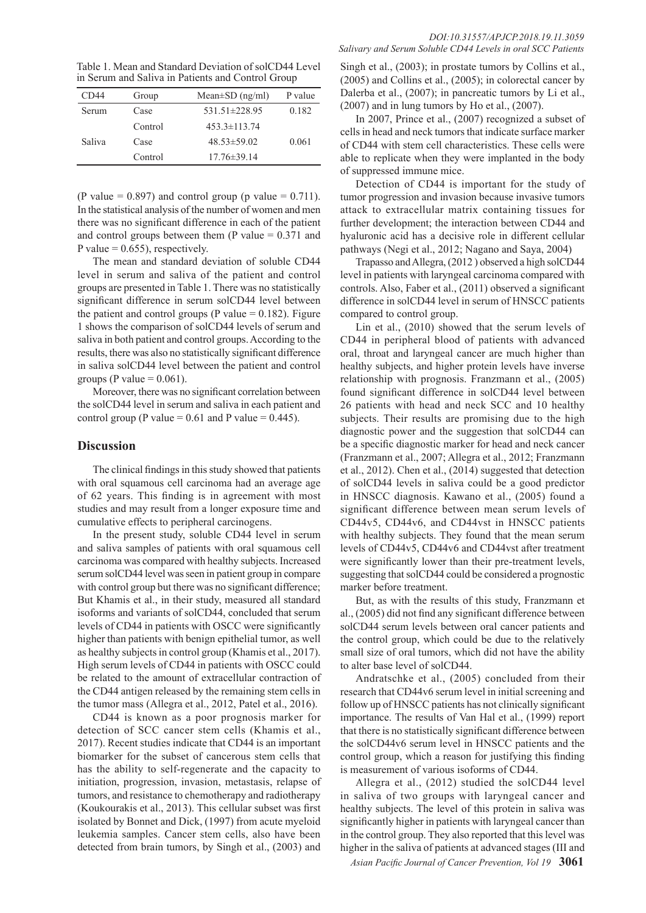Table 1. Mean and Standard Deviation of solCD44 Level in Serum and Saliva in Patients and Control Group

| CD44   | Group   | Mean $\pm$ SD (ng/ml) | P value |
|--------|---------|-----------------------|---------|
| Serum  | Case    | 531.51±228.95         | 0.182   |
|        | Control | $453.3 \pm 113.74$    |         |
| Saliva | Case    | $48.53 \pm 59.02$     | 0.061   |
|        | Control | $17.76 \pm 39.14$     |         |

(P value =  $0.897$ ) and control group (p value =  $0.711$ ). In the statistical analysis of the number of women and men there was no significant difference in each of the patient and control groups between them (P value  $= 0.371$  and P value =  $0.655$ ), respectively.

The mean and standard deviation of soluble CD44 level in serum and saliva of the patient and control groups are presented in Table 1. There was no statistically significant difference in serum solCD44 level between the patient and control groups (P value  $= 0.182$ ). Figure 1 shows the comparison of solCD44 levels of serum and saliva in both patient and control groups. According to the results, there was also no statistically significant difference in saliva solCD44 level between the patient and control groups (P value =  $0.061$ ).

Moreover, there was no significant correlation between the solCD44 level in serum and saliva in each patient and control group (P value =  $0.61$  and P value =  $0.445$ ).

## **Discussion**

The clinical findings in this study showed that patients with oral squamous cell carcinoma had an average age of 62 years. This finding is in agreement with most studies and may result from a longer exposure time and cumulative effects to peripheral carcinogens.

In the present study, soluble CD44 level in serum and saliva samples of patients with oral squamous cell carcinoma was compared with healthy subjects. Increased serum solCD44 level was seen in patient group in compare with control group but there was no significant difference; But Khamis et al., in their study, measured all standard isoforms and variants of solCD44, concluded that serum levels of CD44 in patients with OSCC were significantly higher than patients with benign epithelial tumor, as well as healthy subjects in control group (Khamis et al., 2017). High serum levels of CD44 in patients with OSCC could be related to the amount of extracellular contraction of the CD44 antigen released by the remaining stem cells in the tumor mass (Allegra et al., 2012, Patel et al., 2016).

CD44 is known as a poor prognosis marker for detection of SCC cancer stem cells (Khamis et al., 2017). Recent studies indicate that CD44 is an important biomarker for the subset of cancerous stem cells that has the ability to self-regenerate and the capacity to initiation, progression, invasion, metastasis, relapse of tumors, and resistance to chemotherapy and radiotherapy (Koukourakis et al., 2013). This cellular subset was first isolated by Bonnet and Dick, (1997) from acute myeloid leukemia samples. Cancer stem cells, also have been detected from brain tumors, by Singh et al., (2003) and

Singh et al., (2003); in prostate tumors by Collins et al., (2005) and Collins et al., (2005); in colorectal cancer by Dalerba et al., (2007); in pancreatic tumors by Li et al., (2007) and in lung tumors by Ho et al., (2007).

In 2007, Prince et al., (2007) recognized a subset of cells in head and neck tumors that indicate surface marker of CD44 with stem cell characteristics. These cells were able to replicate when they were implanted in the body of suppressed immune mice.

Detection of CD44 is important for the study of tumor progression and invasion because invasive tumors attack to extracellular matrix containing tissues for further development; the interaction between CD44 and hyaluronic acid has a decisive role in different cellular pathways (Negi et al., 2012; Nagano and Saya, 2004)

Trapasso and Allegra, (2012 ) observed a high solCD44 level in patients with laryngeal carcinoma compared with controls. Also, Faber et al., (2011) observed a significant difference in solCD44 level in serum of HNSCC patients compared to control group.

Lin et al., (2010) showed that the serum levels of CD44 in peripheral blood of patients with advanced oral, throat and laryngeal cancer are much higher than healthy subjects, and higher protein levels have inverse relationship with prognosis. Franzmann et al., (2005) found significant difference in solCD44 level between 26 patients with head and neck SCC and 10 healthy subjects. Their results are promising due to the high diagnostic power and the suggestion that solCD44 can be a specific diagnostic marker for head and neck cancer (Franzmann et al., 2007; Allegra et al., 2012; Franzmann et al., 2012). Chen et al., (2014) suggested that detection of solCD44 levels in saliva could be a good predictor in HNSCC diagnosis. Kawano et al., (2005) found a significant difference between mean serum levels of CD44v5, CD44v6, and CD44vst in HNSCC patients with healthy subjects. They found that the mean serum levels of CD44v5, CD44v6 and CD44vst after treatment were significantly lower than their pre-treatment levels, suggesting that solCD44 could be considered a prognostic marker before treatment.

But, as with the results of this study, Franzmann et al., (2005) did not find any significant difference between solCD44 serum levels between oral cancer patients and the control group, which could be due to the relatively small size of oral tumors, which did not have the ability to alter base level of solCD44.

Andratschke et al., (2005) concluded from their research that CD44v6 serum level in initial screening and follow up of HNSCC patients has not clinically significant importance. The results of Van Hal et al., (1999) report that there is no statistically significant difference between the solCD44v6 serum level in HNSCC patients and the control group, which a reason for justifying this finding is measurement of various isoforms of CD44.

Allegra et al., (2012) studied the solCD44 level in saliva of two groups with laryngeal cancer and healthy subjects. The level of this protein in saliva was significantly higher in patients with laryngeal cancer than in the control group. They also reported that this level was higher in the saliva of patients at advanced stages (III and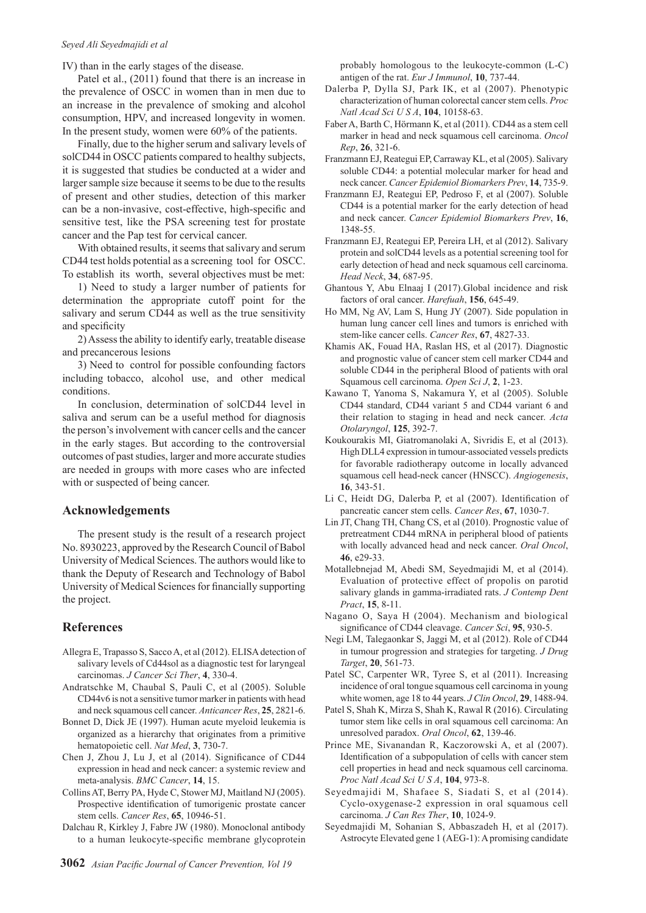#### *Seyed Ali Seyedmajidi et al*

IV) than in the early stages of the disease.

Patel et al., (2011) found that there is an increase in the prevalence of OSCC in women than in men due to an increase in the prevalence of smoking and alcohol consumption, HPV, and increased longevity in women. In the present study, women were 60% of the patients.

Finally, due to the higher serum and salivary levels of solCD44 in OSCC patients compared to healthy subjects, it is suggested that studies be conducted at a wider and larger sample size because it seems to be due to the results of present and other studies, detection of this marker can be a non-invasive, cost-effective, high-specific and sensitive test, like the PSA screening test for prostate cancer and the Pap test for cervical cancer.

With obtained results, it seems that salivary and serum CD44 test holds potential as a screening tool for OSCC. To establish its worth, several objectives must be met:

1) Need to study a larger number of patients for determination the appropriate cutoff point for the salivary and serum CD44 as well as the true sensitivity and specificity

2) Assess the ability to identify early, treatable disease and precancerous lesions

3) Need to control for possible confounding factors including tobacco, alcohol use, and other medical conditions.

In conclusion, determination of solCD44 level in saliva and serum can be a useful method for diagnosis the person's involvement with cancer cells and the cancer in the early stages. But according to the controversial outcomes of past studies, larger and more accurate studies are needed in groups with more cases who are infected with or suspected of being cancer.

#### **Acknowledgements**

The present study is the result of a research project No. 8930223, approved by the Research Council of Babol University of Medical Sciences. The authors would like to thank the Deputy of Research and Technology of Babol University of Medical Sciences for financially supporting the project.

## **References**

- Allegra E, Trapasso S, Sacco A, et al (2012). ELISA detection of salivary levels of Cd44sol as a diagnostic test for laryngeal carcinomas. *J Cancer Sci Ther*, **4**, 330-4.
- Andratschke M, Chaubal S, Pauli C, et al (2005). Soluble CD44v6 is not a sensitive tumor marker in patients with head and neck squamous cell cancer. *Anticancer Res*, **25**, 2821-6.
- Bonnet D, Dick JE (1997). Human acute myeloid leukemia is organized as a hierarchy that originates from a primitive hematopoietic cell. *Nat Med*, **3**, 730-7.
- Chen J, Zhou J, Lu J, et al (2014). Significance of CD44 expression in head and neck cancer: a systemic review and meta-analysis. *BMC Cancer*, **14**, 15.
- Collins AT, Berry PA, Hyde C, Stower MJ, Maitland NJ (2005). Prospective identification of tumorigenic prostate cancer stem cells. *Cancer Res*, **65**, 10946-51.
- Dalchau R, Kirkley J, Fabre JW (1980). Monoclonal antibody to a human leukocyte-specific membrane glycoprotein

probably homologous to the leukocyte-common (L-C) antigen of the rat. *Eur J Immunol*, **10**, 737-44.

- Dalerba P, Dylla SJ, Park IK, et al (2007). Phenotypic characterization of human colorectal cancer stem cells. *Proc Natl Acad Sci U S A*, **104**, 10158-63.
- Faber A, Barth C, Hörmann K, et al (2011). CD44 as a stem cell marker in head and neck squamous cell carcinoma. *Oncol Rep*, **26**, 321-6.
- Franzmann EJ, Reategui EP, Carraway KL, et al (2005). Salivary soluble CD44: a potential molecular marker for head and neck cancer. *Cancer Epidemiol Biomarkers Prev*, **14**, 735-9.
- Franzmann EJ, Reategui EP, Pedroso F, et al (2007). Soluble CD44 is a potential marker for the early detection of head and neck cancer. *Cancer Epidemiol Biomarkers Prev*, **16**, 1348-55.
- Franzmann EJ, Reategui EP, Pereira LH, et al (2012). Salivary protein and solCD44 levels as a potential screening tool for early detection of head and neck squamous cell carcinoma. *Head Neck*, **34**, 687-95.
- Ghantous Y, Abu Elnaaj I (2017).Global incidence and risk factors of oral cancer. *Harefuah*, **156**, 645-49.
- Ho MM, Ng AV, Lam S, Hung JY (2007). Side population in human lung cancer cell lines and tumors is enriched with stem-like cancer cells. *Cancer Res*, **67**, 4827-33.
- Khamis AK, Fouad HA, Raslan HS, et al (2017). Diagnostic and prognostic value of cancer stem cell marker CD44 and soluble CD44 in the peripheral Blood of patients with oral Squamous cell carcinoma. *Open Sci J*, **2**, 1-23.
- Kawano T, Yanoma S, Nakamura Y, et al (2005). Soluble CD44 standard, CD44 variant 5 and CD44 variant 6 and their relation to staging in head and neck cancer. *Acta Otolaryngol*, **125**, 392-7.
- Koukourakis MI, Giatromanolaki A, Sivridis E, et al (2013). High DLL4 expression in tumour-associated vessels predicts for favorable radiotherapy outcome in locally advanced squamous cell head-neck cancer (HNSCC). *Angiogenesis*, **16**, 343-51.
- Li C, Heidt DG, Dalerba P, et al (2007). Identification of pancreatic cancer stem cells. *Cancer Res*, **67**, 1030-7.
- Lin JT, Chang TH, Chang CS, et al (2010). Prognostic value of pretreatment CD44 mRNA in peripheral blood of patients with locally advanced head and neck cancer. *Oral Oncol*, **46**, e29-33.
- Motallebnejad M, Abedi SM, Seyedmajidi M, et al (2014). Evaluation of protective effect of propolis on parotid salivary glands in gamma-irradiated rats. *J Contemp Dent Pract*, **15**, 8-11.
- Nagano O, Saya H (2004). Mechanism and biological significance of CD44 cleavage. *Cancer Sci*, **95**, 930-5.
- Negi LM, Talegaonkar S, Jaggi M, et al (2012). Role of CD44 in tumour progression and strategies for targeting. *J Drug Target*, **20**, 561-73.
- Patel SC, Carpenter WR, Tyree S, et al (2011). Increasing incidence of oral tongue squamous cell carcinoma in young white women, age 18 to 44 years. *J Clin Oncol*, **29**, 1488-94.
- Patel S, Shah K, Mirza S, Shah K, Rawal R (2016). Circulating tumor stem like cells in oral squamous cell carcinoma: An unresolved paradox. *Oral Oncol*, **62**, 139-46.
- Prince ME, Sivanandan R, Kaczorowski A, et al (2007). Identification of a subpopulation of cells with cancer stem cell properties in head and neck squamous cell carcinoma. *Proc Natl Acad Sci U S A*, **104**, 973-8.
- Seyedmajidi M, Shafaee S, Siadati S, et al (2014). Cyclo-oxygenase-2 expression in oral squamous cell carcinoma. *J Can Res Ther*, **10**, 1024-9.
- Seyedmajidi M, Sohanian S, Abbaszadeh H, et al (2017). Astrocyte Elevated gene 1 (AEG-1): A promising candidate